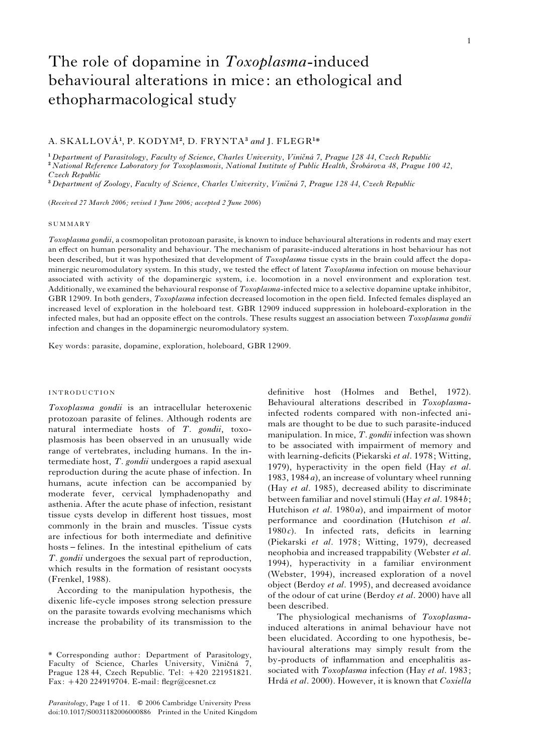# The role of dopamine in Toxoplasma-induced behavioural alterations in mice: an ethological and ethopharmacological study

# A. SKALLOVÁ<sup>1</sup>, P. KODYM<sup>2</sup>, D. FRYNTA<sup>3</sup> and J. FLEGR<sup>1\*</sup>

<sup>1</sup> Department of Parasitology, Faculty of Science, Charles University, Viničná 7, Prague 128 44, Czech Republic <sup>2</sup> National Reference Laboratory for Toxoplasmosis, National Institute of Public Health, Šrobárova 48, Prague 100 42, Czech Republic

 $3$  Department of Zoology, Faculty of Science, Charles University, Viničná 7, Prague 128 44, Czech Republic

(Received 27 March 2006; revised 1 June 2006; accepted 2 June 2006)

### SUMMARY

Toxoplasma gondii, a cosmopolitan protozoan parasite, is known to induce behavioural alterations in rodents and may exert an effect on human personality and behaviour. The mechanism of parasite-induced alterations in host behaviour has not been described, but it was hypothesized that development of *Toxoplasma* tissue cysts in the brain could affect the dopaminergic neuromodulatory system. In this study, we tested the effect of latent Toxoplasma infection on mouse behaviour associated with activity of the dopaminergic system, i.e. locomotion in a novel environment and exploration test. Additionally, we examined the behavioural response of Toxoplasma-infected mice to a selective dopamine uptake inhibitor, GBR 12909. In both genders, *Toxoplasma* infection decreased locomotion in the open field. Infected females displayed an increased level of exploration in the holeboard test. GBR 12909 induced suppression in holeboard-exploration in the infected males, but had an opposite effect on the controls. These results suggest an association between Toxoplasma gondii infection and changes in the dopaminergic neuromodulatory system.

Key words: parasite, dopamine, exploration, holeboard, GBR 12909.

# INTRODUCTION

Toxoplasma gondii is an intracellular heteroxenic protozoan parasite of felines. Although rodents are natural intermediate hosts of T. gondii, toxoplasmosis has been observed in an unusually wide range of vertebrates, including humans. In the intermediate host, T. gondii undergoes a rapid asexual reproduction during the acute phase of infection. In humans, acute infection can be accompanied by moderate fever, cervical lymphadenopathy and asthenia. After the acute phase of infection, resistant tissue cysts develop in different host tissues, most commonly in the brain and muscles. Tissue cysts are infectious for both intermediate and definitive hosts – felines. In the intestinal epithelium of cats T. gondii undergoes the sexual part of reproduction, which results in the formation of resistant oocysts (Frenkel, 1988).

According to the manipulation hypothesis, the dixenic life-cycle imposes strong selection pressure on the parasite towards evolving mechanisms which increase the probability of its transmission to the

Parasitology, Page 1 of 11.  $\circ$  2006 Cambridge University Press doi:10.1017/S0031182006000886 Printed in the United Kingdom

definitive host (Holmes and Bethel, 1972). Behavioural alterations described in Toxoplasmainfected rodents compared with non-infected animals are thought to be due to such parasite-induced manipulation. In mice,  $T$ . gondii infection was shown to be associated with impairment of memory and with learning-deficits (Piekarski et al. 1978; Witting, 1979), hyperactivity in the open field (Hay et al. 1983, 1984a), an increase of voluntary wheel running (Hay et al. 1985), decreased ability to discriminate between familiar and novel stimuli (Hay et al. 1984b; Hutchison et al. 1980a), and impairment of motor performance and coordination (Hutchison et al.  $1980c$ . In infected rats, deficits in learning (Piekarski et al. 1978; Witting, 1979), decreased neophobia and increased trappability (Webster et al. 1994), hyperactivity in a familiar environment (Webster, 1994), increased exploration of a novel object (Berdoy et al. 1995), and decreased avoidance of the odour of cat urine (Berdoy et al. 2000) have all been described.

The physiological mechanisms of Toxoplasmainduced alterations in animal behaviour have not been elucidated. According to one hypothesis, behavioural alterations may simply result from the by-products of inflammation and encephalitis associated with Toxoplasma infection (Hay et al. 1983; Hrdá et al. 2000). However, it is known that Coxiella

<sup>\*</sup> Corresponding author: Department of Parasitology, Faculty of Science, Charles University, Viničná 7, Prague 128 44, Czech Republic. Tel: +420 221951821. Fax: +420 224919704. E-mail: flegr@cesnet.cz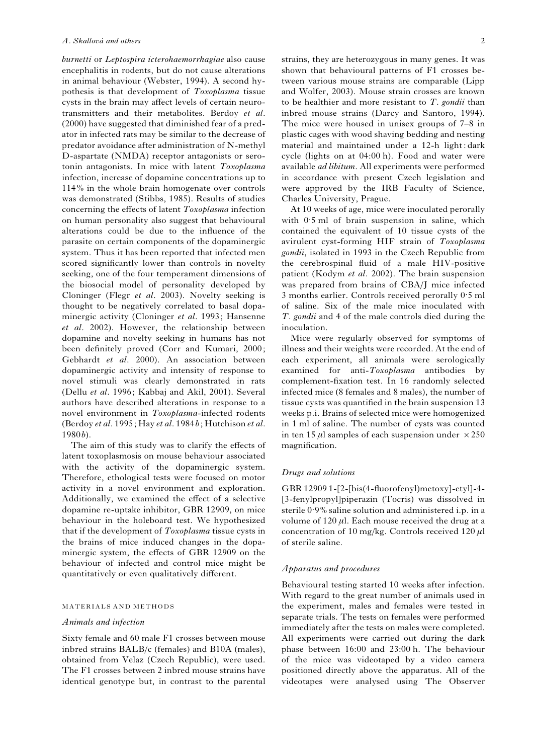burnetti or Leptospira icterohaemorrhagiae also cause encephalitis in rodents, but do not cause alterations in animal behaviour (Webster, 1994). A second hypothesis is that development of Toxoplasma tissue cysts in the brain may affect levels of certain neurotransmitters and their metabolites. Berdoy et al. (2000) have suggested that diminished fear of a predator in infected rats may be similar to the decrease of predator avoidance after administration of N-methyl D-aspartate (NMDA) receptor antagonists or serotonin antagonists. In mice with latent Toxoplasma infection, increase of dopamine concentrations up to 114% in the whole brain homogenate over controls was demonstrated (Stibbs, 1985). Results of studies concerning the effects of latent Toxoplasma infection on human personality also suggest that behavioural alterations could be due to the influence of the parasite on certain components of the dopaminergic system. Thus it has been reported that infected men scored significantly lower than controls in novelty seeking, one of the four temperament dimensions of the biosocial model of personality developed by Cloninger (Flegr et al. 2003). Novelty seeking is thought to be negatively correlated to basal dopaminergic activity (Cloninger et al. 1993; Hansenne et al. 2002). However, the relationship between dopamine and novelty seeking in humans has not been definitely proved (Corr and Kumari, 2000; Gebhardt et al. 2000). An association between dopaminergic activity and intensity of response to novel stimuli was clearly demonstrated in rats (Dellu et al. 1996; Kabbaj and Akil, 2001). Several authors have described alterations in response to a novel environment in Toxoplasma-infected rodents (Berdoy et al. 1995; Hay et al. 1984b; Hutchison et al. 1980b).

The aim of this study was to clarify the effects of latent toxoplasmosis on mouse behaviour associated with the activity of the dopaminergic system. Therefore, ethological tests were focused on motor activity in a novel environment and exploration. Additionally, we examined the effect of a selective dopamine re-uptake inhibitor, GBR 12909, on mice behaviour in the holeboard test. We hypothesized that if the development of Toxoplasma tissue cysts in the brains of mice induced changes in the dopaminergic system, the effects of GBR 12909 on the behaviour of infected and control mice might be quantitatively or even qualitatively different.

#### MATERIALS AND METHODS

# Animals and infection

Sixty female and 60 male F1 crosses between mouse inbred strains BALB/c (females) and B10A (males), obtained from Velaz (Czech Republic), were used. The F1 crosses between 2 inbred mouse strains have identical genotype but, in contrast to the parental

strains, they are heterozygous in many genes. It was shown that behavioural patterns of F1 crosses between various mouse strains are comparable (Lipp and Wolfer, 2003). Mouse strain crosses are known to be healthier and more resistant to  $T$ . gondii than inbred mouse strains (Darcy and Santoro, 1994). The mice were housed in unisex groups of 7–8 in plastic cages with wood shaving bedding and nesting material and maintained under a 12-h light : dark cycle (lights on at 04:00 h). Food and water were available ad libitum. All experiments were performed

Charles University, Prague. At 10 weeks of age, mice were inoculated perorally with 0. 5 ml of brain suspension in saline, which contained the equivalent of 10 tissue cysts of the avirulent cyst-forming HIF strain of Toxoplasma gondii, isolated in 1993 in the Czech Republic from the cerebrospinal fluid of a male HIV-positive patient (Kodym et al. 2002). The brain suspension was prepared from brains of CBA/J mice infected 3 months earlier. Controls received perorally 0. 5 ml of saline. Six of the male mice inoculated with T. gondii and 4 of the male controls died during the inoculation.

in accordance with present Czech legislation and were approved by the IRB Faculty of Science,

Mice were regularly observed for symptoms of illness and their weights were recorded. At the end of each experiment, all animals were serologically examined for anti-Toxoplasma antibodies by complement-fixation test. In 16 randomly selected infected mice (8 females and 8 males), the number of tissue cysts was quantified in the brain suspension 13 weeks p.i. Brains of selected mice were homogenized in 1 ml of saline. The number of cysts was counted in ten 15  $\mu$ l samples of each suspension under  $\times$  250 magnification.

#### Drugs and solutions

GBR 12909 1-[2-[bis(4-fluorofenyl)metoxy]-etyl]-4- [3-fenylpropyl]piperazin (Tocris) was dissolved in sterile 0. 9% saline solution and administered i.p. in a volume of  $120 \mu l$ . Each mouse received the drug at a concentration of 10 mg/kg. Controls received 120  $\mu$ l of sterile saline.

#### Apparatus and procedures

Behavioural testing started 10 weeks after infection. With regard to the great number of animals used in the experiment, males and females were tested in separate trials. The tests on females were performed immediately after the tests on males were completed. All experiments were carried out during the dark phase between 16:00 and 23:00 h. The behaviour of the mice was videotaped by a video camera positioned directly above the apparatus. All of the videotapes were analysed using The Observer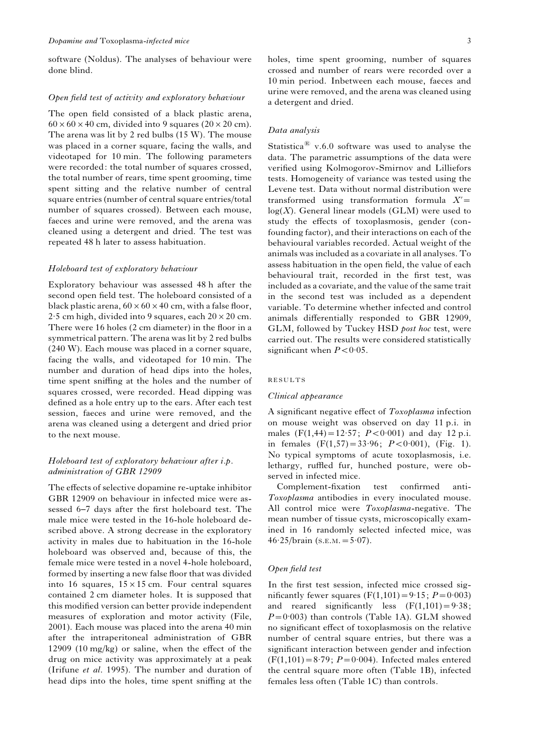software (Noldus). The analyses of behaviour were done blind.

#### Open field test of activity and exploratory behaviour

The open field consisted of a black plastic arena,  $60 \times 60 \times 40$  cm, divided into 9 squares (20  $\times$  20 cm). The arena was lit by 2 red bulbs (15 W). The mouse was placed in a corner square, facing the walls, and videotaped for 10 min. The following parameters were recorded: the total number of squares crossed, the total number of rears, time spent grooming, time spent sitting and the relative number of central square entries (number of central square entries/total number of squares crossed). Between each mouse, faeces and urine were removed, and the arena was cleaned using a detergent and dried. The test was repeated 48 h later to assess habituation.

#### Holeboard test of exploratory behaviour

Exploratory behaviour was assessed 48 h after the second open field test. The holeboard consisted of a black plastic arena,  $60 \times 60 \times 40$  cm, with a false floor,  $2.5$  cm high, divided into 9 squares, each  $20 \times 20$  cm. There were 16 holes (2 cm diameter) in the floor in a symmetrical pattern. The arena was lit by 2 red bulbs (240 W). Each mouse was placed in a corner square, facing the walls, and videotaped for 10 min. The number and duration of head dips into the holes, time spent sniffing at the holes and the number of squares crossed, were recorded. Head dipping was defined as a hole entry up to the ears. After each test session, faeces and urine were removed, and the arena was cleaned using a detergent and dried prior to the next mouse.

# Holeboard test of exploratory behaviour after i.p. administration of GBR 12909

The effects of selective dopamine re-uptake inhibitor GBR 12909 on behaviour in infected mice were assessed 6–7 days after the first holeboard test. The male mice were tested in the 16-hole holeboard described above. A strong decrease in the exploratory activity in males due to habituation in the 16-hole holeboard was observed and, because of this, the female mice were tested in a novel 4-hole holeboard, formed by inserting a new false floor that was divided into 16 squares,  $15 \times 15$  cm. Four central squares contained 2 cm diameter holes. It is supposed that this modified version can better provide independent measures of exploration and motor activity (File, 2001). Each mouse was placed into the arena 40 min after the intraperitoneal administration of GBR 12909 (10 mg/kg) or saline, when the effect of the drug on mice activity was approximately at a peak (Irifune et al. 1995). The number and duration of head dips into the holes, time spent sniffing at the holes, time spent grooming, number of squares crossed and number of rears were recorded over a 10 min period. Inbetween each mouse, faeces and urine were removed, and the arena was cleaned using a detergent and dried.

# Data analysis

Statistica<sup> $\text{R}$ </sup> v.6.0 software was used to analyse the data. The parametric assumptions of the data were verified using Kolmogorov-Smirnov and Lilliefors tests. Homogeneity of variance was tested using the Levene test. Data without normal distribution were transformed using transformation formula  $X'$ =  $log(X)$ . General linear models (GLM) were used to study the effects of toxoplasmosis, gender (confounding factor), and their interactions on each of the behavioural variables recorded. Actual weight of the animals was included as a covariate in all analyses. To assess habituation in the open field, the value of each behavioural trait, recorded in the first test, was included as a covariate, and the value of the same trait in the second test was included as a dependent variable. To determine whether infected and control animals differentially responded to GBR 12909, GLM, followed by Tuckey HSD post hoc test, were carried out. The results were considered statistically significant when  $P < 0.05$ .

#### RESULTS

## Clinical appearance

A significant negative effect of Toxoplasma infection on mouse weight was observed on day 11 p.i. in males  $(F(1, 44) = 12.57; P < 0.001)$  and day 12 p.i. in females  $(F(1,57)) = 33.96$ ;  $P < 0.001$ ),  $(Fig. 1)$ . No typical symptoms of acute toxoplasmosis, i.e. lethargy, ruffled fur, hunched posture, were observed in infected mice.

Complement-fixation test confirmed anti-Toxoplasma antibodies in every inoculated mouse. All control mice were *Toxoplasma*-negative. The mean number of tissue cysts, microscopically examined in 16 randomly selected infected mice, was  $46.25/b \text{rain (s.e.} M. = 5.07).$ 

#### Open field test

In the first test session, infected mice crossed significantly fewer squares  $(F(1, 101) = 9.15; P = 0.003)$ and reared significantly less  $(F(1, 101) = 9.38)$ ;  $P=0.003$ ) than controls (Table 1A). GLM showed no significant effect of toxoplasmosis on the relative number of central square entries, but there was a significant interaction between gender and infection  $(F(1, 101)=8.79; P=0.004)$ . Infected males entered the central square more often (Table 1B), infected females less often (Table 1C) than controls.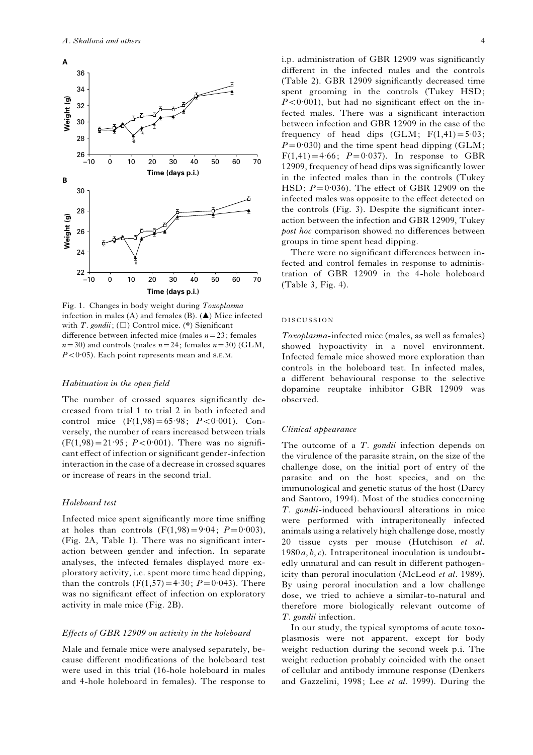

Fig. 1. Changes in body weight during Toxoplasma infection in males (A) and females (B). (A) Mice infected with T. gondii;  $(\Box)$  Control mice. (\*) Significant difference between infected mice (males  $n=23$ ; females  $n=30$ ) and controls (males  $n=24$ ; females  $n=30$ ) (GLM,  $P < 0.05$ ). Each point represents mean and s.E.M.

#### Habituation in the open field

The number of crossed squares significantly decreased from trial 1 to trial 2 in both infected and control mice  $(F(1, 98) = 65.98; P < 0.001)$ . Conversely, the number of rears increased between trials  $(F(1, 98) = 21.95; P < 0.001)$ . There was no significant effect of infection or significant gender-infection interaction in the case of a decrease in crossed squares or increase of rears in the second trial.

#### Holeboard test

Infected mice spent significantly more time sniffing at holes than controls  $(F(1, 98) = 9.04; P = 0.003)$ , (Fig. 2A, Table 1). There was no significant interaction between gender and infection. In separate analyses, the infected females displayed more exploratory activity, i.e. spent more time head dipping, than the controls  $(F(1,57)=4.30; P=0.043)$ . There was no significant effect of infection on exploratory activity in male mice (Fig. 2B).

#### Effects of GBR 12909 on activity in the holeboard

Male and female mice were analysed separately, because different modifications of the holeboard test were used in this trial (16-hole holeboard in males and 4-hole holeboard in females). The response to

i.p. administration of GBR 12909 was significantly different in the infected males and the controls (Table 2). GBR 12909 significantly decreased time spent grooming in the controls (Tukey HSD;  $P < 0.001$ ), but had no significant effect on the infected males. There was a significant interaction between infection and GBR 12909 in the case of the frequency of head dips  $(GLM; F(1,41)=5.03;$  $P=0.030$ ) and the time spent head dipping (GLM;  $F(1, 41) = 4.66$ ;  $P = 0.037$ ). In response to GBR 12909, frequency of head dips was significantly lower in the infected males than in the controls (Tukey  $HSD$ ;  $P=0.036$ ). The effect of GBR 12909 on the infected males was opposite to the effect detected on the controls (Fig. 3). Despite the significant interaction between the infection and GBR 12909, Tukey post hoc comparison showed no differences between groups in time spent head dipping.

There were no significant differences between infected and control females in response to administration of GBR 12909 in the 4-hole holeboard (Table 3, Fig. 4).

# DISCUSSION

Toxoplasma-infected mice (males, as well as females) showed hypoactivity in a novel environment. Infected female mice showed more exploration than controls in the holeboard test. In infected males, a different behavioural response to the selective dopamine reuptake inhibitor GBR 12909 was observed.

## Clinical appearance

The outcome of a  $T$ . gondii infection depends on the virulence of the parasite strain, on the size of the challenge dose, on the initial port of entry of the parasite and on the host species, and on the immunological and genetic status of the host (Darcy and Santoro, 1994). Most of the studies concerning T. gondii-induced behavioural alterations in mice were performed with intraperitoneally infected animals using a relatively high challenge dose, mostly 20 tissue cysts per mouse (Hutchison et al.  $1980a, b, c$ . Intraperitoneal inoculation is undoubtedly unnatural and can result in different pathogenicity than peroral inoculation (McLeod et al. 1989). By using peroral inoculation and a low challenge dose, we tried to achieve a similar-to-natural and therefore more biologically relevant outcome of T. gondii infection.

In our study, the typical symptoms of acute toxoplasmosis were not apparent, except for body weight reduction during the second week p.i. The weight reduction probably coincided with the onset of cellular and antibody immune response (Denkers and Gazzelini, 1998; Lee et al. 1999). During the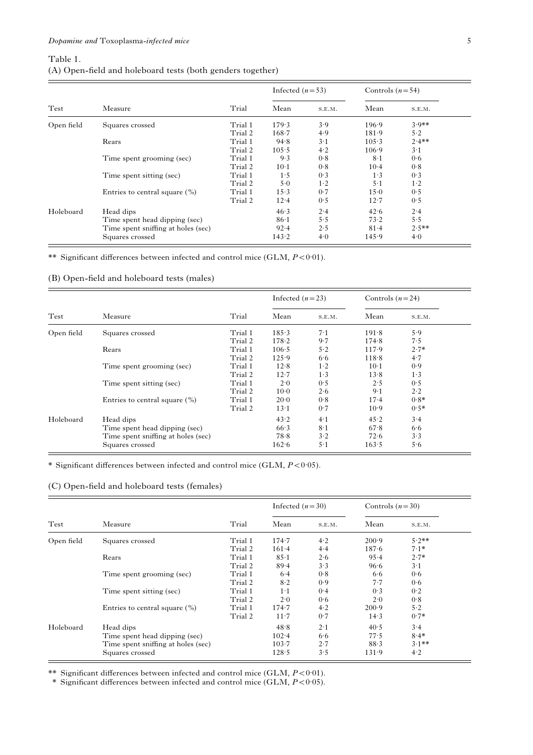# Table 1. (A) Open-field and holeboard tests (both genders together)

| Test       | Measure                            | Trial   | Infected $(n=53)$ |            | Controls $(n=54)$ |             |
|------------|------------------------------------|---------|-------------------|------------|-------------------|-------------|
|            |                                    |         | Mean              | S.E.M.     | Mean              | S.E.M.      |
| Open field | Squares crossed                    | Trial 1 | 179.3             | 3.9        | 196.9             | $3.9**$     |
|            |                                    | Trial 2 | $168 - 7$         | 4.9        | 181.9             | 5.2         |
|            | Rears                              | Trial 1 | 94.8              | $3-1$      | 105.3             | $2.4$ **    |
|            |                                    | Trial 2 | 105.5             | 4.2        | $106-9$           | $3 \cdot 1$ |
|            | Time spent grooming (sec)          | Trial 1 | 9.3               | 0.8        | $8-1$             | 0.6         |
|            |                                    | Trial 2 | $10-1$            | 0.8        | $10-4$            | 0.8         |
|            | Time spent sitting (sec)           | Trial 1 | 1.5               | 0.3        | $1\cdot 3$        | 0.3         |
|            |                                    | Trial 2 | 5.0               | $1\cdot 2$ | $5-1$             | $1\cdot 2$  |
|            | Entries to central square $(\% )$  | Trial 1 | 15.3              | 0.7        | 15.0              | 0.5         |
|            |                                    | Trial 2 | 12.4              | 0.5        | 12.7              | 0.5         |
| Holeboard  | Head dips                          |         | 46.3              | 2.4        | 42.6              | 2.4         |
|            | Time spent head dipping (sec)      |         | $86-1$            | 5.5        | 73.2              | 5.5         |
|            | Time spent sniffing at holes (sec) |         | $92 - 4$          | 2.5        | 81.4              | $2.5***$    |
|            | Squares crossed                    |         | 143.2             | 4.0        | 145.9             | 4.0         |

\*\* Significant differences between infected and control mice (GLM,  $P < 0.01$ ).

# (B) Open-field and holeboard tests (males)

| Test       | Measure                            | Trial   | Infected $(n=23)$ |        | Controls $(n=24)$ |            |
|------------|------------------------------------|---------|-------------------|--------|-------------------|------------|
|            |                                    |         | Mean              | S.E.M. | Mean              | S.E.M.     |
| Open field | Squares crossed                    | Trial 1 | 185.3             | $7-1$  | 191.8             | 5.9        |
|            |                                    | Trial 2 | 178.2             | 9.7    | 174.8             | 7.5        |
|            | Rears                              | Trial 1 | $106-5$           | $5-2$  | 117.9             | $2.7*$     |
|            |                                    | Trial 2 | 125.9             | 6.6    | 118.8             | 4.7        |
|            | Time spent grooming (sec)          | Trial 1 | 12.8              | $1-2$  | $10-1$            | 0.9        |
|            |                                    | Trial 2 | 12.7              | 1.3    | 13.8              | $1\cdot 3$ |
|            | Time spent sitting (sec)           | Trial 1 | 2.0               | 0.5    | 2.5               | 0.5        |
|            |                                    | Trial 2 | $10-0$            | 2.6    | $9-1$             | $2\cdot 2$ |
|            | Entries to central square $(\% )$  | Trial 1 | 20.0              | 0.8    | $17-4$            | $0.8*$     |
|            |                                    | Trial 2 | $13-1$            | 0.7    | $10-9$            | $0.5*$     |
| Holeboard  | Head dips                          |         | 43.2              | $4-1$  | 45.2              | 3.4        |
|            | Time spent head dipping (sec)      |         | 66.3              | $8-1$  | 67.8              | 6.6        |
|            | Time spent sniffing at holes (sec) |         | 78.8              | $3-2$  | 72.6              | $3-3$      |
|            | Squares crossed                    |         | 162.6             | $5-1$  | 163.5             | 5.6        |

\* Significant differences between infected and control mice (GLM,  $P < 0.05$ ).

# (C) Open-field and holeboard tests (females)

|            | Measure                            | Trial   | Infected $(n=30)$ |             | Controls $(n=30)$ |             |  |
|------------|------------------------------------|---------|-------------------|-------------|-------------------|-------------|--|
| Test       |                                    |         | Mean              | S.E.M.      | Mean              | S.E.M.      |  |
| Open field | Squares crossed                    | Trial 1 | 174.7             | 4.2         | 200.9             | $5.2**$     |  |
|            |                                    | Trial 2 | $161 - 4$         | 4.4         | 187.6             | $7.1*$      |  |
|            | Rears                              | Trial 1 | 85.1              | 2.6         | 95.4              | $2.7*$      |  |
|            |                                    | Trial 2 | 89.4              | 3.3         | 96.6              | $3 \cdot 1$ |  |
|            | Time spent grooming (sec)          | Trial 1 | 6.4               | 0.8         | 6.6               | 0.6         |  |
|            |                                    | Trial 2 | $8-2$             | 0.9         | 7.7               | 0.6         |  |
|            | Time spent sitting (sec)           | Trial 1 | $1-1$             | 0.4         | 0.3               | 0.2         |  |
|            |                                    | Trial 2 | 2.0               | 0.6         | 2.0               | 0.8         |  |
|            | Entries to central square $(\% )$  | Trial 1 | 174.7             | 4.2         | $200-9$           | 5.2         |  |
|            |                                    | Trial 2 | $11 - 7$          | 0.7         | 14.3              | $0.7*$      |  |
| Holeboard  | Head dips                          |         | 48.8              | $2 \cdot 1$ | 40.5              | 3.4         |  |
|            | Time spent head dipping (sec)      |         | $102 - 4$         | 6.6         | 77.5              | $8.4*$      |  |
|            | Time spent sniffing at holes (sec) |         | 103.7             | 2.7         | 88.3              | $3.1**$     |  |
|            | Squares crossed                    |         | 128.5             | 3.5         | 131.9             | 4.2         |  |

\*\* Significant differences between infected and control mice (GLM,  $P < 0.01$ ).

\* Significant differences between infected and control mice (GLM,  $P < 0.05$ ).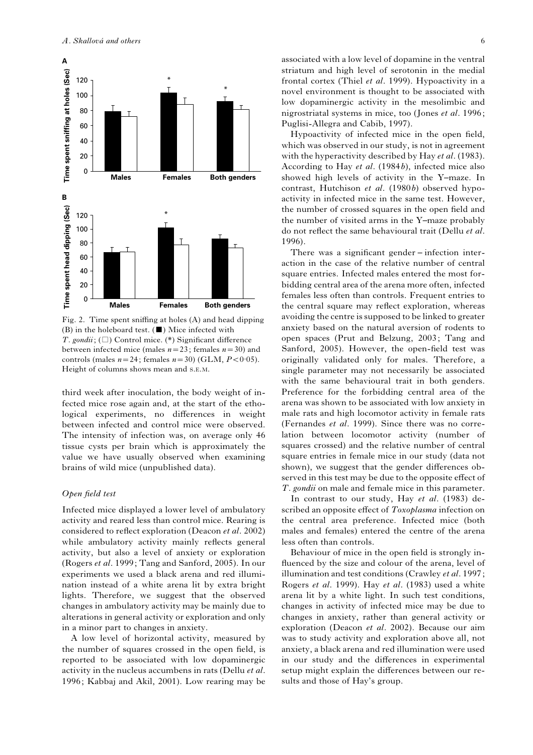

Fig. 2. Time spent sniffing at holes (A) and head dipping (B) in the holeboard test.  $(\blacksquare)$  Mice infected with T. gondii;  $(\Box)$  Control mice. (\*) Significant difference between infected mice (males  $n=23$ ; females  $n=30$ ) and controls (males  $n=24$ ; females  $n=30$ ) (GLM,  $P < 0.05$ ). Height of columns shows mean and S.E.M.

third week after inoculation, the body weight of infected mice rose again and, at the start of the ethological experiments, no differences in weight between infected and control mice were observed. The intensity of infection was, on average only 46 tissue cysts per brain which is approximately the value we have usually observed when examining brains of wild mice (unpublished data).

#### Open field test

Infected mice displayed a lower level of ambulatory activity and reared less than control mice. Rearing is considered to reflect exploration (Deacon et al. 2002) while ambulatory activity mainly reflects general activity, but also a level of anxiety or exploration (Rogers et al. 1999; Tang and Sanford, 2005). In our experiments we used a black arena and red illumination instead of a white arena lit by extra bright lights. Therefore, we suggest that the observed changes in ambulatory activity may be mainly due to alterations in general activity or exploration and only in a minor part to changes in anxiety.

A low level of horizontal activity, measured by the number of squares crossed in the open field, is reported to be associated with low dopaminergic activity in the nucleus accumbens in rats (Dellu et al. 1996; Kabbaj and Akil, 2001). Low rearing may be

associated with a low level of dopamine in the ventral striatum and high level of serotonin in the medial frontal cortex (Thiel et al. 1999). Hypoactivity in a novel environment is thought to be associated with low dopaminergic activity in the mesolimbic and nigrostriatal systems in mice, too (Jones et al. 1996; Puglisi-Allegra and Cabib, 1997).

Hypoactivity of infected mice in the open field, which was observed in our study, is not in agreement with the hyperactivity described by Hay et al. (1983). According to Hay et al. (1984b), infected mice also showed high levels of activity in the Y–maze. In contrast, Hutchison et al. (1980b) observed hypoactivity in infected mice in the same test. However, the number of crossed squares in the open field and the number of visited arms in the Y–maze probably do not reflect the same behavioural trait (Dellu et al. 1996).

There was a significant gender – infection interaction in the case of the relative number of central square entries. Infected males entered the most forbidding central area of the arena more often, infected females less often than controls. Frequent entries to the central square may reflect exploration, whereas avoiding the centre is supposed to be linked to greater anxiety based on the natural aversion of rodents to open spaces (Prut and Belzung, 2003; Tang and Sanford, 2005). However, the open-field test was originally validated only for males. Therefore, a single parameter may not necessarily be associated with the same behavioural trait in both genders. Preference for the forbidding central area of the arena was shown to be associated with low anxiety in male rats and high locomotor activity in female rats (Fernandes et al. 1999). Since there was no correlation between locomotor activity (number of squares crossed) and the relative number of central square entries in female mice in our study (data not shown), we suggest that the gender differences observed in this test may be due to the opposite effect of T. gondii on male and female mice in this parameter.

In contrast to our study, Hay et al. (1983) described an opposite effect of Toxoplasma infection on the central area preference. Infected mice (both males and females) entered the centre of the arena less often than controls.

Behaviour of mice in the open field is strongly influenced by the size and colour of the arena, level of illumination and test conditions (Crawley et al. 1997; Rogers et al. 1999). Hay et al. (1983) used a white arena lit by a white light. In such test conditions, changes in activity of infected mice may be due to changes in anxiety, rather than general activity or exploration (Deacon et al. 2002). Because our aim was to study activity and exploration above all, not anxiety, a black arena and red illumination were used in our study and the differences in experimental setup might explain the differences between our results and those of Hay's group.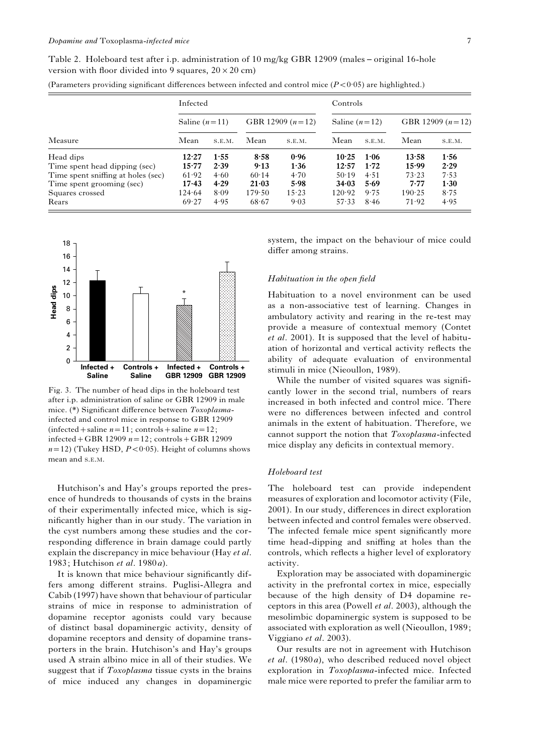| Table 2. Holeboard test after i.p. administration of 10 mg/kg GBR 12909 (males – original 16-hole |  |  |  |  |
|---------------------------------------------------------------------------------------------------|--|--|--|--|
| version with floor divided into 9 squares, $20 \times 20$ cm)                                     |  |  |  |  |

|                                    | Infected        |        |                    |        | Controls        |        |                    |        |
|------------------------------------|-----------------|--------|--------------------|--------|-----------------|--------|--------------------|--------|
|                                    | Saline $(n=11)$ |        | GBR 12909 $(n=12)$ |        | Saline $(n=12)$ |        | GBR 12909 $(n=12)$ |        |
| Measure                            | Mean            | S.E.M. | Mean               | S.E.M. | Mean            | S.E.M. | Mean               | S.E.M. |
| Head dips                          | 12.27           | 1.55   | 8.58               | 0.96   | 10.25           | 1:06   | 13.58              | 1:56   |
| Time spent head dipping (sec)      | 15.77           | 2.39   | 9.13               | 1.36   | 12.57           | 1.72   | 15.99              | 2.29   |
| Time spent sniffing at holes (sec) | 61.92           | 4.60   | 60.14              | 4.70   | 50.19           | 4.51   | 73.23              | 7.53   |
| Time spent grooming (sec)          | 17.43           | 4.29   | $21 - 0.3$         | 5.98   | 34.03           | 5.69   | 7.77               | 1.30   |
| Squares crossed                    | 124.64          | 8.09   | 179.50             | 15.23  | 120.92          | 9.75   | 190.25             | 8.75   |
| Rears                              | 69.27           | 4.95   | 68.67              | 9.03   | 57.33           | 8.46   | 71.92              | 4.95   |

(Parameters providing significant differences between infected and control mice  $(P<0.05)$  are highlighted.)



Fig. 3. The number of head dips in the holeboard test after i.p. administration of saline or GBR 12909 in male mice. (\*) Significant difference between Toxoplasmainfected and control mice in response to GBR 12909 (infected + saline  $n=11$ ; controls + saline  $n=12$ ; infected + GBR 12909  $n=12$ ; controls + GBR 12909  $n=12$ ) (Tukey HSD,  $P < 0.05$ ). Height of columns shows mean and S.E.M.

Hutchison's and Hay's groups reported the presence of hundreds to thousands of cysts in the brains of their experimentally infected mice, which is significantly higher than in our study. The variation in the cyst numbers among these studies and the corresponding difference in brain damage could partly explain the discrepancy in mice behaviour (Hay et al. 1983; Hutchison et al. 1980a).

It is known that mice behaviour significantly differs among different strains. Puglisi-Allegra and Cabib (1997) have shown that behaviour of particular strains of mice in response to administration of dopamine receptor agonists could vary because of distinct basal dopaminergic activity, density of dopamine receptors and density of dopamine transporters in the brain. Hutchison's and Hay's groups used A strain albino mice in all of their studies. We suggest that if Toxoplasma tissue cysts in the brains of mice induced any changes in dopaminergic

system, the impact on the behaviour of mice could differ among strains.

### Habituation in the open field

Habituation to a novel environment can be used as a non-associative test of learning. Changes in ambulatory activity and rearing in the re-test may provide a measure of contextual memory (Contet et al. 2001). It is supposed that the level of habituation of horizontal and vertical activity reflects the ability of adequate evaluation of environmental stimuli in mice (Nieoullon, 1989).

While the number of visited squares was significantly lower in the second trial, numbers of rears increased in both infected and control mice. There were no differences between infected and control animals in the extent of habituation. Therefore, we cannot support the notion that Toxoplasma-infected mice display any deficits in contextual memory.

#### Holeboard test

The holeboard test can provide independent measures of exploration and locomotor activity (File, 2001). In our study, differences in direct exploration between infected and control females were observed. The infected female mice spent significantly more time head-dipping and sniffing at holes than the controls, which reflects a higher level of exploratory activity.

Exploration may be associated with dopaminergic activity in the prefrontal cortex in mice, especially because of the high density of D4 dopamine receptors in this area (Powell et al. 2003), although the mesolimbic dopaminergic system is supposed to be associated with exploration as well (Nieoullon, 1989; Viggiano et al. 2003).

Our results are not in agreement with Hutchison et al. (1980a), who described reduced novel object exploration in Toxoplasma-infected mice. Infected male mice were reported to prefer the familiar arm to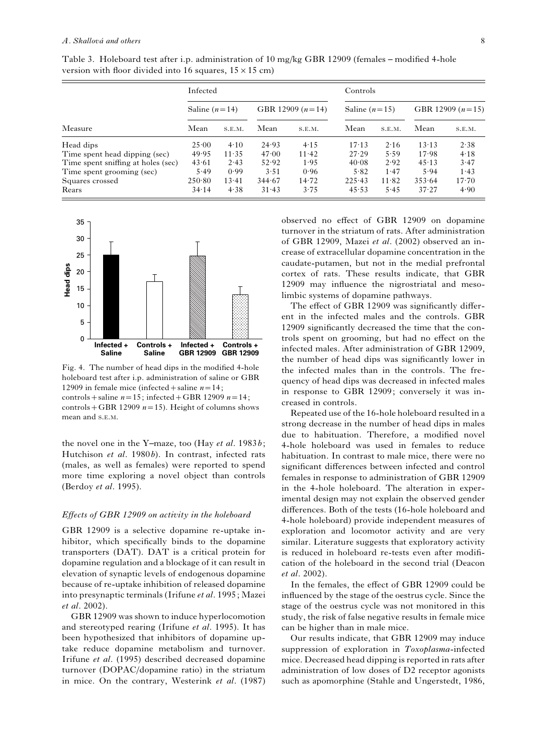|                                    | Infected        |        |                    |        | Controls        |        |                    |           |
|------------------------------------|-----------------|--------|--------------------|--------|-----------------|--------|--------------------|-----------|
|                                    | Saline $(n=14)$ |        | GBR 12909 $(n=14)$ |        | Saline $(n=15)$ |        | GBR 12909 $(n=15)$ |           |
| Measure                            | Mean            | S.E.M. | Mean               | S.E.M. | Mean            | S.E.M. | Mean               | S.E.M.    |
| Head dips                          | 25.00           | 4.10   | 24.93              | 4.15   | 17.13           | 2.16   | 13.13              | 2.38      |
| Time spent head dipping (sec)      | 49.95           | 11.35  | 47.00              | 11.42  | 27.29           | 5.59   | 17.98              | 4.18      |
| Time spent sniffing at holes (sec) | 43.61           | 2.43   | 52.92              | 1.95   | 40.08           | 2.92   | 45.13              | 3.47      |
| Time spent grooming (sec)          | 5.49            | 0.99   | 3.51               | 0.96   | 5.82            | 1.47   | 5.94               | 1.43      |
| Squares crossed                    | 250.80          | 13.41  | 344.67             | 14.72  | 225.43          | 11.82  | 353.64             | $17 - 70$ |
| Rears                              | 34.14           | 4.38   | 31.43              | 3.75   | 45.53           | 5.45   | 37.27              | 4.90      |

Table 3. Holeboard test after i.p. administration of 10 mg/kg GBR 12909 (females – modified 4-hole version with floor divided into 16 squares,  $15 \times 15$  cm)



Fig. 4. The number of head dips in the modified 4-hole holeboard test after i.p. administration of saline or GBR 12909 in female mice (infected + saline  $n=14$ ; controls + saline  $n=15$ ; infected + GBR 12909  $n=14$ ;

controls + GBR 12909  $n=15$ ). Height of columns shows mean and S.E.M.

the novel one in the Y-maze, too (Hay et al.  $1983b$ ; Hutchison et al. 1980b). In contrast, infected rats (males, as well as females) were reported to spend more time exploring a novel object than controls (Berdoy et al. 1995).

# Effects of GBR 12909 on activity in the holeboard

GBR 12909 is a selective dopamine re-uptake inhibitor, which specifically binds to the dopamine transporters (DAT). DAT is a critical protein for dopamine regulation and a blockage of it can result in elevation of synaptic levels of endogenous dopamine because of re-uptake inhibition of released dopamine into presynaptic terminals (Irifune et al. 1995; Mazei et al. 2002).

GBR 12909 was shown to induce hyperlocomotion and stereotyped rearing (Irifune et al. 1995). It has been hypothesized that inhibitors of dopamine uptake reduce dopamine metabolism and turnover. Irifune et al. (1995) described decreased dopamine turnover (DOPAC/dopamine ratio) in the striatum in mice. On the contrary, Westerink et al. (1987)

observed no effect of GBR 12909 on dopamine turnover in the striatum of rats. After administration of GBR 12909, Mazei et al. (2002) observed an increase of extracellular dopamine concentration in the caudate-putamen, but not in the medial prefrontal cortex of rats. These results indicate, that GBR 12909 may influence the nigrostriatal and mesolimbic systems of dopamine pathways.

The effect of GBR 12909 was significantly different in the infected males and the controls. GBR 12909 significantly decreased the time that the controls spent on grooming, but had no effect on the infected males. After administration of GBR 12909, the number of head dips was significantly lower in the infected males than in the controls. The frequency of head dips was decreased in infected males in response to GBR 12909; conversely it was increased in controls.

Repeated use of the 16-hole holeboard resulted in a strong decrease in the number of head dips in males due to habituation. Therefore, a modified novel 4-hole holeboard was used in females to reduce habituation. In contrast to male mice, there were no significant differences between infected and control females in response to administration of GBR 12909 in the 4-hole holeboard. The alteration in experimental design may not explain the observed gender differences. Both of the tests (16-hole holeboard and 4-hole holeboard) provide independent measures of exploration and locomotor activity and are very similar. Literature suggests that exploratory activity is reduced in holeboard re-tests even after modification of the holeboard in the second trial (Deacon et al. 2002).

In the females, the effect of GBR 12909 could be influenced by the stage of the oestrus cycle. Since the stage of the oestrus cycle was not monitored in this study, the risk of false negative results in female mice can be higher than in male mice.

Our results indicate, that GBR 12909 may induce suppression of exploration in Toxoplasma-infected mice. Decreased head dipping is reported in rats after administration of low doses of D2 receptor agonists such as apomorphine (Stahle and Ungerstedt, 1986,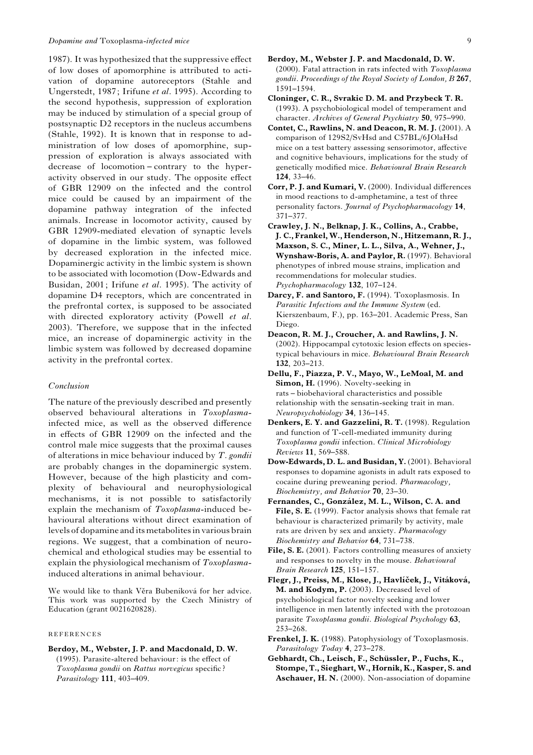### Dopamine and Toxoplasma-infected mice 9

1987). It was hypothesized that the suppressive effect of low doses of apomorphine is attributed to activation of dopamine autoreceptors (Stahle and Ungerstedt, 1987; Irifune et al. 1995). According to the second hypothesis, suppression of exploration may be induced by stimulation of a special group of postsynaptic D2 receptors in the nucleus accumbens (Stahle, 1992). It is known that in response to administration of low doses of apomorphine, suppression of exploration is always associated with decrease of locomotion – contrary to the hyperactivity observed in our study. The opposite effect of GBR 12909 on the infected and the control mice could be caused by an impairment of the dopamine pathway integration of the infected animals. Increase in locomotor activity, caused by GBR 12909-mediated elevation of synaptic levels of dopamine in the limbic system, was followed by decreased exploration in the infected mice. Dopaminergic activity in the limbic system is shown to be associated with locomotion (Dow-Edwards and Busidan, 2001; Irifune et al. 1995). The activity of dopamine D4 receptors, which are concentrated in the prefrontal cortex, is supposed to be associated with directed exploratory activity (Powell et al. 2003). Therefore, we suppose that in the infected mice, an increase of dopaminergic activity in the limbic system was followed by decreased dopamine activity in the prefrontal cortex.

# Conclusion

The nature of the previously described and presently observed behavioural alterations in Toxoplasmainfected mice, as well as the observed difference in effects of GBR 12909 on the infected and the control male mice suggests that the proximal causes of alterations in mice behaviour induced by  $T$ . gondii are probably changes in the dopaminergic system. However, because of the high plasticity and complexity of behavioural and neurophysiological mechanisms, it is not possible to satisfactorily explain the mechanism of Toxoplasma-induced behavioural alterations without direct examination of levels of dopamine and itsmetabolites in various brain regions. We suggest, that a combination of neurochemical and ethological studies may be essential to explain the physiological mechanism of Toxoplasmainduced alterations in animal behaviour.

We would like to thank Věra Bubeníková for her advice. This work was supported by the Czech Ministry of Education (grant 0021620828).

### REFERENCES

Berdoy, M., Webster, J. P. and Macdonald, D. W. (1995). Parasite-altered behaviour: is the effect of

Toxoplasma gondii on Rattus norvegicus specific ? Parasitology **111**, 403-409.

- Berdoy, M., Webster J. P. and Macdonald, D. W. (2000). Fatal attraction in rats infected with Toxoplasma gondii. Proceedings of the Royal Society of London, B 267, 1591–1594.
- Cloninger, C. R., Svrakic D. M. and Przybeck T. R. (1993). A psychobiological model of temperament and character. Archives of General Psychiatry 50, 975–990.
- Contet, C., Rawlins, N. and Deacon, R. M. J. (2001). A comparison of 129S2/SvHsd and C57BL/6JOlaHsd mice on a test battery assessing sensorimotor, affective and cognitive behaviours, implications for the study of genetically modified mice. Behavioural Brain Research 124, 33–46.
- Corr, P. J. and Kumari, V. (2000). Individual differences in mood reactions to d-amphetamine, a test of three personality factors. Journal of Psychopharmacology 14, 371–377.
- Crawley, J. N., Belknap, J. K., Collins, A., Crabbe, J. C., Frankel, W., Henderson, N., Hitzemann, R. J., Maxson, S. C., Miner, L. L., Silva, A., Wehner, J., Wynshaw-Boris, A. and Paylor, R. (1997). Behavioral phenotypes of inbred mouse strains, implication and recommendations for molecular studies. Psychopharmacology 132, 107–124.
- Darcy, F. and Santoro, F. (1994). Toxoplasmosis. In Parasitic Infections and the Immune System (ed. Kierszenbaum, F.), pp. 163–201. Academic Press, San Diego.
- Deacon, R. M. J., Croucher, A. and Rawlins, J. N. (2002). Hippocampal cytotoxic lesion effects on speciestypical behaviours in mice. Behavioural Brain Research 132, 203–213.
- Dellu, F., Piazza, P. V., Mayo, W., LeMoal, M. and Simon, H. (1996). Novelty-seeking in rats – biobehavioral characteristics and possible relationship with the sensatin-seeking trait in man. Neuropsychobiology 34, 136–145.
- Denkers, E. Y. and Gazzelini, R. T. (1998). Regulation and function of T-cell-mediated immunity during Toxoplasma gondii infection. Clinical Microbiology Reviews 11, 569–588.
- Dow-Edwards, D. L. and Busidan, Y. (2001). Behavioral responses to dopamine agonists in adult rats exposed to cocaine during preweaning period. Pharmacology, Biochemistry, and Behavior 70, 23–30.
- Fernandes, C., González, M. L., Wilson, C. A. and File, S. E. (1999). Factor analysis shows that female rat behaviour is characterized primarily by activity, male rats are driven by sex and anxiety. Pharmacology Biochemistry and Behavior 64, 731–738.
- File, S. E. (2001). Factors controlling measures of anxiety and responses to novelty in the mouse. Behavioural Brain Research 125, 151–157.
- Flegr, J., Preiss, M., Klose, J., Havlíček, J., Vitáková, M. and Kodym, P. (2003). Decreased level of psychobiological factor novelty seeking and lower intelligence in men latently infected with the protozoan parasite Toxoplasma gondii. Biological Psychology 63, 253–268.
- Frenkel, J. K. (1988). Patophysiology of Toxoplasmosis. Parasitology Today 4, 273-278.
- Gebhardt, Ch., Leisch, F., Schüssler, P., Fuchs, K., Stompe, T., Sieghart, W., Hornik, K., Kasper, S. and Aschauer, H. N. (2000). Non-association of dopamine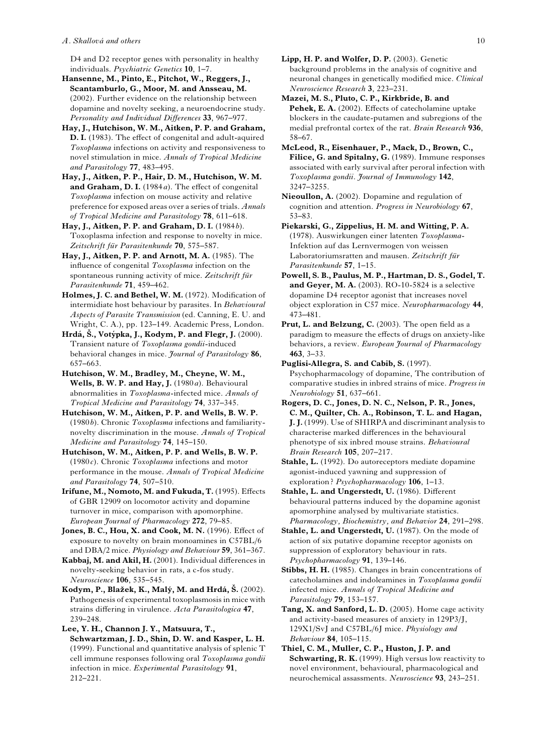#### A. Skallová and others  $10$

D4 and D2 receptor genes with personality in healthy individuals. Psychiatric Genetics 10, 1–7.

Hansenne, M., Pinto, E., Pitchot, W., Reggers, J., Scantamburlo, G., Moor, M. and Ansseau, M. (2002). Further evidence on the relationship between dopamine and novelty seeking, a neuroendocrine study. Personality and Individual Differences 33, 967–977.

Hay, J., Hutchison, W. M., Aitken, P. P. and Graham, D. I. (1983). The effect of congenital and adult-aquired Toxoplasma infections on activity and responsiveness to novel stimulation in mice. Annals of Tropical Medicine and Parasitology 77, 483–495.

Hay, J., Aitken, P. P., Hair, D. M., Hutchison, W. M. and Graham, D. I. (1984a). The effect of congenital Toxoplasma infection on mouse activity and relative preference for exposed areas over a series of trials. Annals of Tropical Medicine and Parasitology 78, 611–618.

Hay, J., Aitken, P. P. and Graham, D. I. (1984b). Toxoplasma infection and response to novelty in mice. Zeitschrift für Parasitenkunde 70, 575–587.

Hay, J., Aitken, P. P. and Arnott, M. A. (1985). The influence of congenital Toxoplasma infection on the spontaneous running activity of mice. Zeitschrift für Parasitenkunde 71, 459–462.

Holmes, J. C. and Bethel, W. M. (1972). Modification of intermidiate host behaviour by parasites. In Behavioural Aspects of Parasite Transmission (ed. Canning, E. U. and Wright, C. A.), pp. 123–149. Academic Press, London.

Hrdá, Š., Votýpka, J., Kodym, P. and Flegr, J.  $(2000)$ . Transient nature of Toxoplasma gondii-induced behavioral changes in mice. *Journal of Parasitology* 86, 657–663.

Hutchison, W. M., Bradley, M., Cheyne, W. M., Wells, B. W. P. and Hay, J. (1980a). Behavioural abnormalities in Toxoplasma-infected mice. Annals of Tropical Medicine and Parasitology 74, 337–345.

Hutchison, W. M., Aitken, P. P. and Wells, B. W. P. (1980b). Chronic Toxoplasma infections and familiaritynovelty discrimination in the mouse. Annals of Tropical Medicine and Parasitology 74, 145–150.

Hutchison, W. M., Aitken, P. P. and Wells, B. W. P. (1980 $c$ ). Chronic Toxoplasma infections and motor performance in the mouse. Annals of Tropical Medicine and Parasitology 74, 507–510.

Irifune, M., Nomoto, M. and Fukuda, T. (1995). Effects of GBR 12909 on locomotor activity and dopamine turnover in mice, comparison with apomorphine. European Journal of Pharmacology 272, 79–85.

Jones, B. C., Hou, X. and Cook, M. N. (1996). Effect of exposure to novelty on brain monoamines in C57BL/6 and DBA/2 mice. Physiology and Behaviour 59, 361–367.

Kabbaj, M. and Akil, H. (2001). Individual differences in novelty-seeking behavior in rats, a c-fos study. Neuroscience 106, 535–545.

Kodym, P., Blažek, K., Malý, M. and Hrdá, Š. (2002). Pathogenesis of experimental toxoplasmosis in mice with strains differing in virulence. Acta Parasitologica 47, 239–248.

Lee, Y. H., Channon J. Y., Matsuura, T., Schwartzman, J. D., Shin, D. W. and Kasper, L. H. (1999). Functional and quantitative analysis of splenic T cell immune responses following oral Toxoplasma gondii infection in mice. Experimental Parasitology 91, 212–221.

Lipp, H. P. and Wolfer, D. P. (2003). Genetic background problems in the analysis of cognitive and neuronal changes in genetically modified mice. Clinical Neuroscience Research 3, 223–231.

Mazei, M. S., Pluto, C. P., Kirkbride, B. and Pehek, E. A. (2002). Effects of catecholamine uptake blockers in the caudate-putamen and subregions of the medial prefrontal cortex of the rat. Brain Research 936, 58–67.

McLeod, R., Eisenhauer, P., Mack, D., Brown, C., Filice, G. and Spitalny, G. (1989). Immune responses associated with early survival after peroral infection with Toxoplasma gondii. Journal of Immunology 142, 3247–3255.

Nieoullon, A. (2002). Dopamine and regulation of cognition and attention. Progress in Neurobiology 67, 53–83.

Piekarski, G., Zippelius, H. M. and Witting, P. A. (1978). Auswirkungen einer latenten Toxoplasma-Infektion auf das Lernvermogen von weissen Laboratoriumsratten and mausen. Zeitschrift für Parasitenkunde 57, 1–15.

- Powell, S. B., Paulus, M. P., Hartman, D. S., Godel, T. and Geyer, M. A. (2003). RO-10-5824 is a selective dopamine D4 receptor agonist that increases novel object exploration in C57 mice. Neuropharmacology 44, 473–481.
- Prut, L. and Belzung, C. (2003). The open field as a paradigm to measure the effects of drugs on anxiety-like behaviors, a review. European Journal of Pharmacology 463, 3–33.

Puglisi-Allegra, S. and Cabib, S. (1997). Psychopharmacology of dopamine, The contribution of comparative studies in inbred strains of mice. Progress in Neurobiology 51, 637–661.

Rogers, D. C., Jones, D. N. C., Nelson, P. R., Jones, C. M., Quilter, Ch. A., Robinson, T. L. and Hagan, J. J. (1999). Use of SHIRPA and discriminant analysis to characterise marked differences in the behavioural phenotype of six inbred mouse strains. Behavioural Brain Research 105, 207–217.

Stahle, L. (1992). Do autoreceptors mediate dopamine agonist-induced yawning and suppression of exploration? *Psychopharmacology* 106, 1-13.

Stahle, L. and Ungerstedt, U. (1986). Different behavioural patterns induced by the dopamine agonist apomorphine analysed by multivariate statistics. Pharmacology, Biochemistry, and Behavior 24, 291–298.

Stahle, L. and Ungerstedt, U. (1987). On the mode of action of six putative dopamine receptor agonists on suppression of exploratory behaviour in rats. Psychopharmacology 91, 139–146.

Stibbs, H. H. (1985). Changes in brain concentrations of catecholamines and indoleamines in Toxoplasma gondii infected mice. Annals of Tropical Medicine and Parasitology 79, 153–157.

Tang, X. and Sanford, L. D. (2005). Home cage activity and activity-based measures of anxiety in 129P3/J, 129X1/SvJ and C57BL/6J mice. Physiology and Behaviour 84, 105–115.

Thiel, C. M., Muller, C. P., Huston, J. P. and Schwarting, R. K. (1999). High versus low reactivity to novel environment, behavioural, pharmacological and neurochemical assassments. Neuroscience 93, 243–251.